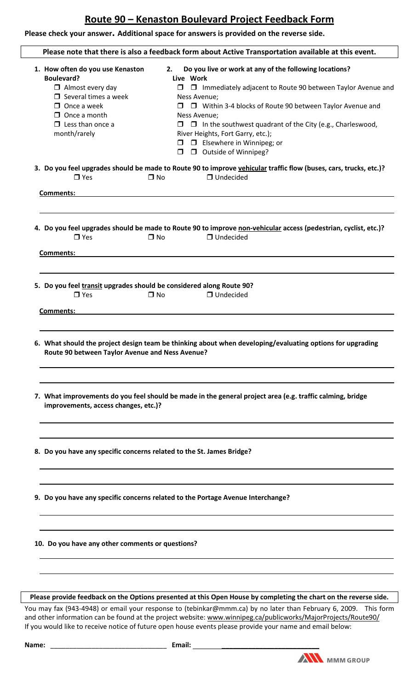## **Route 90 – Kenaston Boulevard Project Feedback Form**

**Please check your answer. Additional space for answers is provided on the reverse side.**

| Please note that there is also a feedback form about Active Transportation available at this event.                                                                                                     |                                                                                                                                                                                                                                                                                                                                                                                                                                                  |  |  |  |  |  |
|---------------------------------------------------------------------------------------------------------------------------------------------------------------------------------------------------------|--------------------------------------------------------------------------------------------------------------------------------------------------------------------------------------------------------------------------------------------------------------------------------------------------------------------------------------------------------------------------------------------------------------------------------------------------|--|--|--|--|--|
| 1. How often do you use Kenaston<br><b>Boulevard?</b><br>$\Box$ Almost every day<br>$\Box$ Several times a week<br>$\Box$ Once a week<br>$\Box$ Once a month<br>$\Box$ Less than once a<br>month/rarely | Do you live or work at any of the following locations?<br>2.<br>Live Work<br>$\Box$ Immediately adjacent to Route 90 between Taylor Avenue and<br>$\Box$<br>Ness Avenue;<br>□ Within 3-4 blocks of Route 90 between Taylor Avenue and<br>Ness Avenue;<br>$\Box$ In the southwest quadrant of the City (e.g., Charleswood,<br>$\Box$<br>River Heights, Fort Garry, etc.);<br>$\Box$ Elsewhere in Winnipeg; or<br>□ Outside of Winnipeg?<br>$\Box$ |  |  |  |  |  |
| $\Box$ Yes                                                                                                                                                                                              | 3. Do you feel upgrades should be made to Route 90 to improve vehicular traffic flow (buses, cars, trucks, etc.)?<br>$\Box$ Undecided<br>$\square$ No                                                                                                                                                                                                                                                                                            |  |  |  |  |  |
| Comments:                                                                                                                                                                                               |                                                                                                                                                                                                                                                                                                                                                                                                                                                  |  |  |  |  |  |
| $\Box$ Yes<br>Comments:                                                                                                                                                                                 | 4. Do you feel upgrades should be made to Route 90 to improve non-vehicular access (pedestrian, cyclist, etc.)?<br>$\Box$ Undecided<br>$\Box$ No                                                                                                                                                                                                                                                                                                 |  |  |  |  |  |
| 5. Do you feel transit upgrades should be considered along Route 90?<br>$\Box$ Yes<br>Comments:<br>Route 90 between Taylor Avenue and Ness Avenue?                                                      | $\Box$ Undecided<br>$\Box$ No<br>6. What should the project design team be thinking about when developing/evaluating options for upgrading                                                                                                                                                                                                                                                                                                       |  |  |  |  |  |
| improvements, access changes, etc.)?                                                                                                                                                                    | 7. What improvements do you feel should be made in the general project area (e.g. traffic calming, bridge                                                                                                                                                                                                                                                                                                                                        |  |  |  |  |  |
| 8. Do you have any specific concerns related to the St. James Bridge?                                                                                                                                   |                                                                                                                                                                                                                                                                                                                                                                                                                                                  |  |  |  |  |  |
|                                                                                                                                                                                                         | 9. Do you have any specific concerns related to the Portage Avenue Interchange?                                                                                                                                                                                                                                                                                                                                                                  |  |  |  |  |  |
| 10. Do you have any other comments or questions?                                                                                                                                                        |                                                                                                                                                                                                                                                                                                                                                                                                                                                  |  |  |  |  |  |
|                                                                                                                                                                                                         | Please provide feedback on the Options presented at this Open House by completing the chart on the reverse side.<br>You may fax (943-4948) or email your response to (tebinkar@mmm.ca) by no later than February 6, 2009. This form                                                                                                                                                                                                              |  |  |  |  |  |

and other information can be found at the project website: If you would like to receive notice of future open house events please provide your name and email below: